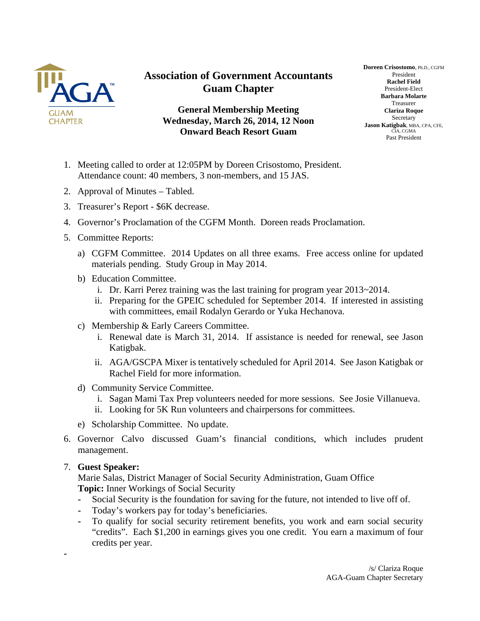

## **Association of Government Accountants Guam Chapter**

**General Membership Meeting Wednesday, March 26, 2014, 12 Noon Onward Beach Resort Guam**

**Doreen Crisostomo**, Ph.D., CGFM President **Rachel Field**  President-Elect **Barbara Molarte**  Treasurer **Clariza Roque**  Secretary **Jason Katigbak**, MBA, CPA, CFE, CIA, CGMA Past President

- 1. Meeting called to order at 12:05PM by Doreen Crisostomo, President. Attendance count: 40 members, 3 non-members, and 15 JAS.
- 2. Approval of Minutes Tabled.
- 3. Treasurer's Report \$6K decrease.
- 4. Governor's Proclamation of the CGFM Month. Doreen reads Proclamation.
- 5. Committee Reports:
	- a) CGFM Committee. 2014 Updates on all three exams. Free access online for updated materials pending. Study Group in May 2014.
	- b) Education Committee.
		- i. Dr. Karri Perez training was the last training for program year 2013~2014.
		- ii. Preparing for the GPEIC scheduled for September 2014. If interested in assisting with committees, email Rodalyn Gerardo or Yuka Hechanova.
	- c) Membership & Early Careers Committee.
		- i. Renewal date is March 31, 2014. If assistance is needed for renewal, see Jason Katigbak.
		- ii. AGA/GSCPA Mixer is tentatively scheduled for April 2014. See Jason Katigbak or Rachel Field for more information.
	- d) Community Service Committee.
		- i. Sagan Mami Tax Prep volunteers needed for more sessions. See Josie Villanueva.
		- ii. Looking for 5K Run volunteers and chairpersons for committees.
	- e) Scholarship Committee. No update.
- 6. Governor Calvo discussed Guam's financial conditions, which includes prudent management.

## 7. **Guest Speaker:**

**-**

Marie Salas, District Manager of Social Security Administration, Guam Office **Topic:** Inner Workings of Social Security

- **-** Social Security is the foundation for saving for the future, not intended to live off of.
- **-** Today's workers pay for today's beneficiaries.
- **-** To qualify for social security retirement benefits, you work and earn social security "credits". Each \$1,200 in earnings gives you one credit. You earn a maximum of four credits per year.